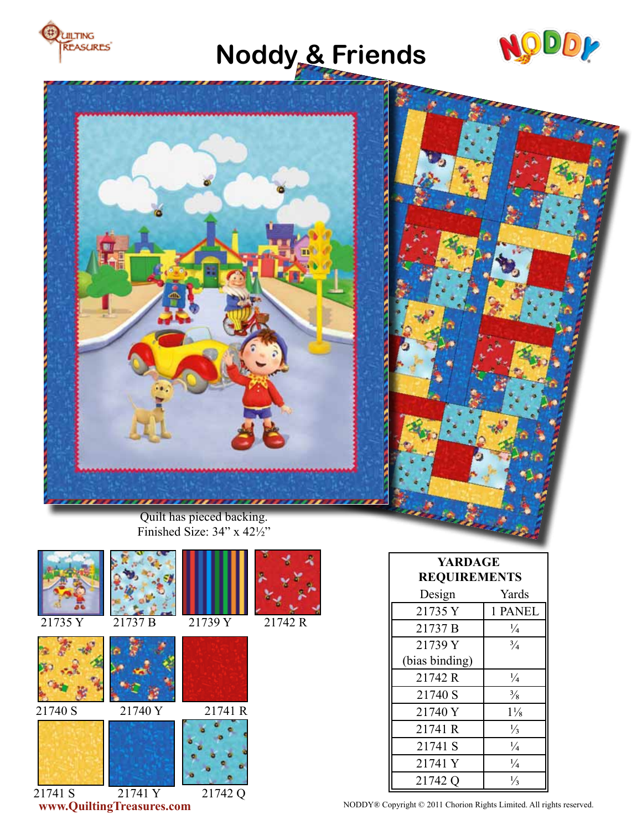

# **Noddy & Friends**





Finished Size: 34" x 42½"





21740 S 21740 Y 21741 R



21741 S 21741 Y 21742 Q





**YARDAGE REQUIREMENTS** Design Yards 21735 Y 1 PANEL 21737 B  $\frac{1}{4}$ 21739 Y (bias binding)  $\frac{3}{4}$ 21742 R  $\frac{1}{4}$ 21740 S  $\frac{3}{8}$ 21740 Y 11/<sub>8</sub> 21741 R  $\frac{1}{3}$ 21741 S  $\frac{1}{4}$ 21741 Y  $\frac{1}{4}$ 21742 Q ⅓

**www.QuiltingTreasures.com** NODDY® Copyright © 2011 Chorion Rights Limited. All rights reserved.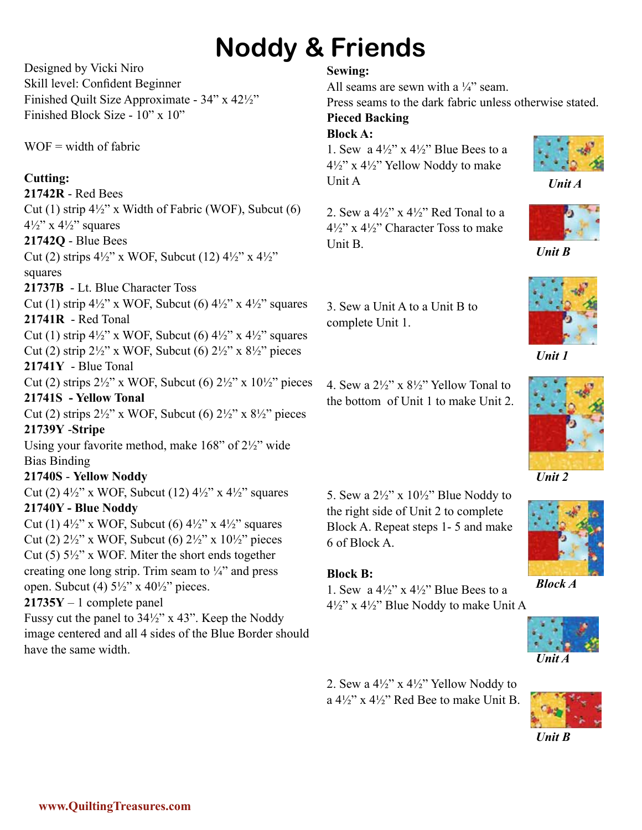# **Noddy & Friends**

Designed by Vicki Niro Skill level: Confident Beginner Finished Quilt Size Approximate - 34" x 42½" Finished Block Size - 10" x 10"

 $WOF = width of fabric$ 

## **Cutting:**

**21742R** - Red Bees Cut (1) strip 4½" x Width of Fabric (WOF), Subcut (6)  $4\frac{1}{2}$ " x  $4\frac{1}{2}$ " squares

### **21742Q** - Blue Bees

Cut (2) strips  $4\frac{1}{2}$ " x WOF, Subcut (12)  $4\frac{1}{2}$ " x  $4\frac{1}{2}$ " squares

**21737B** - Lt. Blue Character Toss

Cut (1) strip  $4\frac{1}{2}$ " x WOF, Subcut (6)  $4\frac{1}{2}$ " x  $4\frac{1}{2}$ " squares **21741R** - Red Tonal

Cut (1) strip  $4\frac{1}{2}$ " x WOF, Subcut (6)  $4\frac{1}{2}$ " x  $4\frac{1}{2}$ " squares Cut (2) strip  $2\frac{1}{2}$ " x WOF, Subcut (6)  $2\frac{1}{2}$ " x  $8\frac{1}{2}$ " pieces

**21741Y** - Blue Tonal

Cut (2) strips  $2\frac{1}{2}$ " x WOF, Subcut (6)  $2\frac{1}{2}$ " x  $10\frac{1}{2}$ " pieces **21741S - Yellow Tonal**

Cut (2) strips  $2\frac{1}{2}$ " x WOF, Subcut (6)  $2\frac{1}{2}$ " x  $8\frac{1}{2}$ " pieces **21739Y** -**Stripe**

Using your favorite method, make 168" of 2½" wide Bias Binding

### **21740S** - **Yellow Noddy**

Cut (2)  $4\frac{1}{2}$ " x WOF, Subcut (12)  $4\frac{1}{2}$ " x  $4\frac{1}{2}$ " squares **21740Y - Blue Noddy** 

Cut (1)  $4\frac{1}{2}$ " x WOF, Subcut (6)  $4\frac{1}{2}$ " x  $4\frac{1}{2}$ " squares Cut (2)  $2\frac{1}{2}$ " x WOF, Subcut (6)  $2\frac{1}{2}$ " x  $10\frac{1}{2}$ " pieces Cut  $(5)$  5½" x WOF. Miter the short ends together creating one long strip. Trim seam to  $\frac{1}{4}$  and press open. Subcut (4)  $5\frac{1}{2}$ " x  $40\frac{1}{2}$ " pieces.

## **21735Y** – 1 complete panel

Fussy cut the panel to 34½" x 43". Keep the Noddy image centered and all 4 sides of the Blue Border should have the same width.

### **Sewing:**

All seams are sewn with a  $\frac{1}{4}$  seam.

Press seams to the dark fabric unless otherwise stated. **Pieced Backing**

## **Block A:**

1. Sew a  $4\frac{1}{2}$ " x  $4\frac{1}{2}$ " Blue Bees to a 4½" x 4½" Yellow Noddy to make Unit A



*Unit A*

2. Sew a  $4\frac{1}{2}$ " x  $4\frac{1}{2}$ " Red Tonal to a  $4\frac{1}{2}$ " x  $4\frac{1}{2}$ " Character Toss to make Unit B.



*Unit B*



*Unit 2*



*Block A*



2. Sew a 4½" x 4½" Yellow Noddy to a  $4\frac{1}{2}$ " x  $4\frac{1}{2}$ " Red Bee to make Unit B.



*Unit B*

4. Sew a  $2\frac{1}{2}$ " x  $8\frac{1}{2}$ " Yellow Tonal to the bottom of Unit 1 to make Unit 2.

5. Sew a  $2\frac{1}{2}$ " x  $10\frac{1}{2}$ " Blue Noddy to the right side of Unit 2 to complete Block A. Repeat steps 1- 5 and make

1. Sew a  $4\frac{1}{2}$ " x  $4\frac{1}{2}$ " Blue Bees to a

6 of Block A.

**Block B:**